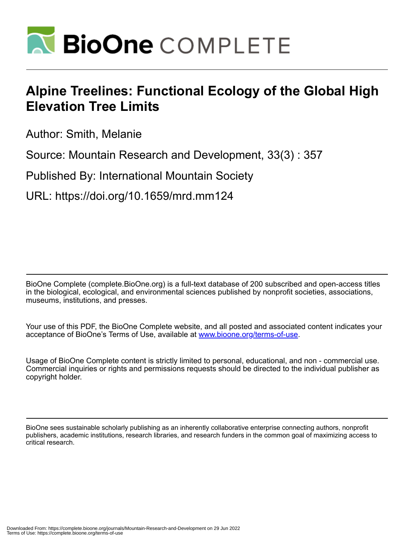

# **Alpine Treelines: Functional Ecology of the Global High Elevation Tree Limits**

Author: Smith, Melanie

Source: Mountain Research and Development, 33(3) : 357

Published By: International Mountain Society

URL: https://doi.org/10.1659/mrd.mm124

BioOne Complete (complete.BioOne.org) is a full-text database of 200 subscribed and open-access titles in the biological, ecological, and environmental sciences published by nonprofit societies, associations, museums, institutions, and presses.

Your use of this PDF, the BioOne Complete website, and all posted and associated content indicates your acceptance of BioOne's Terms of Use, available at www.bioone.org/terms-of-use.

Usage of BioOne Complete content is strictly limited to personal, educational, and non - commercial use. Commercial inquiries or rights and permissions requests should be directed to the individual publisher as copyright holder.

BioOne sees sustainable scholarly publishing as an inherently collaborative enterprise connecting authors, nonprofit publishers, academic institutions, research libraries, and research funders in the common goal of maximizing access to critical research.